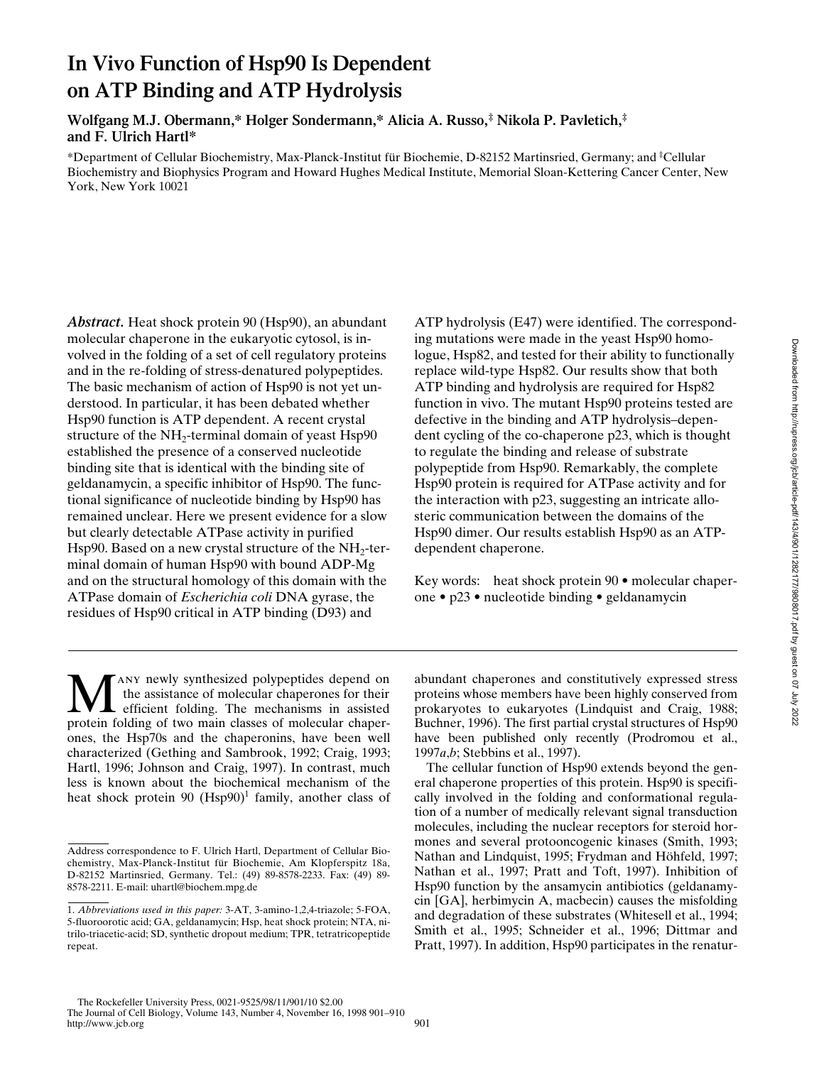# **In Vivo Function of Hsp90 Is Dependent on ATP Binding and ATP Hydrolysis**

**Wolfgang M.J. Obermann,\* Holger Sondermann,\* Alicia A. Russo,‡ Nikola P. Pavletich,‡ and F. Ulrich Hartl\***

\*Department of Cellular Biochemistry, Max-Planck-Institut für Biochemie, D-82152 Martinsried, Germany; and ‡ Cellular Biochemistry and Biophysics Program and Howard Hughes Medical Institute, Memorial Sloan-Kettering Cancer Center, New York, New York 10021

*Abstract.* Heat shock protein 90 (Hsp90), an abundant molecular chaperone in the eukaryotic cytosol, is involved in the folding of a set of cell regulatory proteins and in the re-folding of stress-denatured polypeptides. The basic mechanism of action of Hsp90 is not yet understood. In particular, it has been debated whether Hsp90 function is ATP dependent. A recent crystal structure of the  $NH<sub>2</sub>$ -terminal domain of yeast Hsp90 established the presence of a conserved nucleotide binding site that is identical with the binding site of geldanamycin, a specific inhibitor of Hsp90. The functional significance of nucleotide binding by Hsp90 has remained unclear. Here we present evidence for a slow but clearly detectable ATPase activity in purified Hsp90. Based on a new crystal structure of the  $NH<sub>2</sub>$ -terminal domain of human Hsp90 with bound ADP-Mg and on the structural homology of this domain with the ATPase domain of *Escherichia coli* DNA gyrase, the residues of Hsp90 critical in ATP binding (D93) and

ATP hydrolysis (E47) were identified. The corresponding mutations were made in the yeast Hsp90 homologue, Hsp82, and tested for their ability to functionally replace wild-type Hsp82. Our results show that both ATP binding and hydrolysis are required for Hsp82 function in vivo. The mutant Hsp90 proteins tested are defective in the binding and ATP hydrolysis–dependent cycling of the co-chaperone p23, which is thought to regulate the binding and release of substrate polypeptide from Hsp90. Remarkably, the complete Hsp90 protein is required for ATPase activity and for the interaction with p23, suggesting an intricate allosteric communication between the domains of the Hsp90 dimer. Our results establish Hsp90 as an ATPdependent chaperone.

Key words: heat shock protein 90 • molecular chaperone • p23 • nucleotide binding • geldanamycin

ANY newly synthesized polypeptides depend on the assistance of molecular chaperones for their efficient folding. The mechanisms in assisted protein folding of two main classes of molecular chaperones, the Hsp70s and the chaperonins, have been well characterized (Gething and Sambrook, 1992; Craig, 1993; Hartl, 1996; Johnson and Craig, 1997). In contrast, much less is known about the biochemical mechanism of the heat shock protein 90 (Hsp90)<sup>1</sup> family, another class of

abundant chaperones and constitutively expressed stress proteins whose members have been highly conserved from prokaryotes to eukaryotes (Lindquist and Craig, 1988; Buchner, 1996). The first partial crystal structures of Hsp90 have been published only recently (Prodromou et al., 1997*a*,*b*; Stebbins et al., 1997).

The cellular function of Hsp90 extends beyond the general chaperone properties of this protein. Hsp90 is specifically involved in the folding and conformational regulation of a number of medically relevant signal transduction molecules, including the nuclear receptors for steroid hormones and several protooncogenic kinases (Smith, 1993; Nathan and Lindquist, 1995; Frydman and Höhfeld, 1997; Nathan et al., 1997; Pratt and Toft, 1997). Inhibition of Hsp90 function by the ansamycin antibiotics (geldanamycin [GA], herbimycin A, macbecin) causes the misfolding and degradation of these substrates (Whitesell et al., 1994; Smith et al., 1995; Schneider et al., 1996; Dittmar and Pratt, 1997). In addition, Hsp90 participates in the renatur-

Address correspondence to F. Ulrich Hartl, Department of Cellular Biochemistry, Max-Planck-Institut für Biochemie, Am Klopferspitz 18a, D-82152 Martinsried, Germany. Tel.: (49) 89-8578-2233. Fax: (49) 89- 8578-2211. E-mail: uhartl@biochem.mpg.de

<sup>1.</sup> *Abbreviations used in this paper:* 3-AT, 3-amino-1,2,4-triazole; 5-FOA, 5-fluoroorotic acid; GA, geldanamycin; Hsp, heat shock protein; NTA, nitrilo-triacetic-acid; SD, synthetic dropout medium; TPR, tetratricopeptide repeat.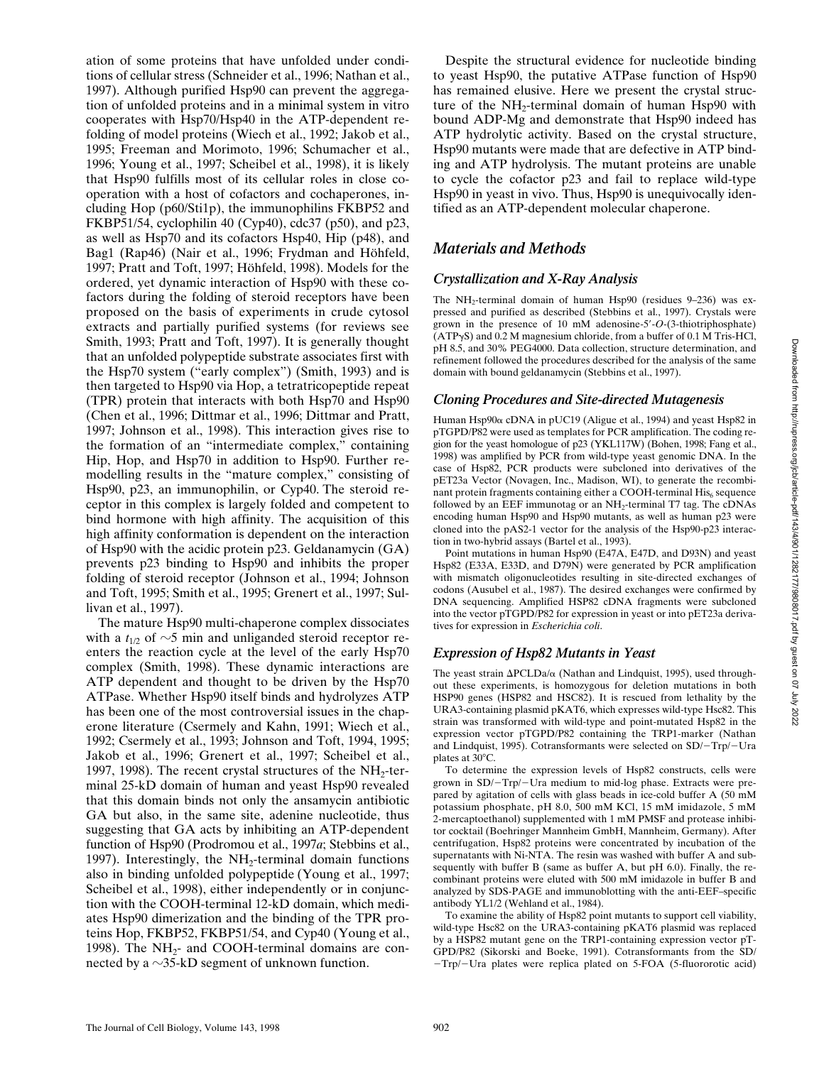ation of some proteins that have unfolded under conditions of cellular stress (Schneider et al., 1996; Nathan et al., 1997). Although purified Hsp90 can prevent the aggregation of unfolded proteins and in a minimal system in vitro cooperates with Hsp70/Hsp40 in the ATP-dependent refolding of model proteins (Wiech et al., 1992; Jakob et al., 1995; Freeman and Morimoto, 1996; Schumacher et al., 1996; Young et al., 1997; Scheibel et al., 1998), it is likely that Hsp90 fulfills most of its cellular roles in close cooperation with a host of cofactors and cochaperones, including Hop (p60/Sti1p), the immunophilins FKBP52 and FKBP51/54, cyclophilin 40 (Cyp40), cdc37 (p50), and p23, as well as Hsp70 and its cofactors Hsp40, Hip (p48), and Bag1 (Rap46) (Nair et al., 1996; Frydman and Höhfeld, 1997; Pratt and Toft, 1997; Höhfeld, 1998). Models for the ordered, yet dynamic interaction of Hsp90 with these cofactors during the folding of steroid receptors have been proposed on the basis of experiments in crude cytosol extracts and partially purified systems (for reviews see Smith, 1993; Pratt and Toft, 1997). It is generally thought that an unfolded polypeptide substrate associates first with the Hsp70 system ("early complex") (Smith, 1993) and is then targeted to Hsp90 via Hop, a tetratricopeptide repeat (TPR) protein that interacts with both Hsp70 and Hsp90 (Chen et al., 1996; Dittmar et al., 1996; Dittmar and Pratt, 1997; Johnson et al., 1998). This interaction gives rise to the formation of an "intermediate complex," containing Hip, Hop, and Hsp70 in addition to Hsp90. Further remodelling results in the "mature complex," consisting of Hsp90, p23, an immunophilin, or Cyp40. The steroid receptor in this complex is largely folded and competent to bind hormone with high affinity. The acquisition of this high affinity conformation is dependent on the interaction of Hsp90 with the acidic protein p23. Geldanamycin (GA) prevents p23 binding to Hsp90 and inhibits the proper folding of steroid receptor (Johnson et al., 1994; Johnson and Toft, 1995; Smith et al., 1995; Grenert et al., 1997; Sullivan et al., 1997).

The mature Hsp90 multi-chaperone complex dissociates with a  $t_{1/2}$  of  $\sim$ 5 min and unliganded steroid receptor reenters the reaction cycle at the level of the early Hsp70 complex (Smith, 1998). These dynamic interactions are ATP dependent and thought to be driven by the Hsp70 ATPase. Whether Hsp90 itself binds and hydrolyzes ATP has been one of the most controversial issues in the chaperone literature (Csermely and Kahn, 1991; Wiech et al., 1992; Csermely et al., 1993; Johnson and Toft, 1994, 1995; Jakob et al., 1996; Grenert et al., 1997; Scheibel et al., 1997, 1998). The recent crystal structures of the  $NH<sub>2</sub>$ -terminal 25-kD domain of human and yeast Hsp90 revealed that this domain binds not only the ansamycin antibiotic GA but also, in the same site, adenine nucleotide, thus suggesting that GA acts by inhibiting an ATP-dependent function of Hsp90 (Prodromou et al., 1997*a*; Stebbins et al., 1997). Interestingly, the  $NH<sub>2</sub>$ -terminal domain functions also in binding unfolded polypeptide (Young et al., 1997; Scheibel et al., 1998), either independently or in conjunction with the COOH-terminal 12-kD domain, which mediates Hsp90 dimerization and the binding of the TPR proteins Hop, FKBP52, FKBP51/54, and Cyp40 (Young et al., 1998). The  $NH<sub>2</sub>$ - and COOH-terminal domains are connected by a  $\sim$ 35-kD segment of unknown function.

Despite the structural evidence for nucleotide binding to yeast Hsp90, the putative ATPase function of Hsp90 has remained elusive. Here we present the crystal structure of the  $NH_2$ -terminal domain of human Hsp $90$  with bound ADP-Mg and demonstrate that Hsp90 indeed has ATP hydrolytic activity. Based on the crystal structure, Hsp90 mutants were made that are defective in ATP binding and ATP hydrolysis. The mutant proteins are unable to cycle the cofactor p23 and fail to replace wild-type Hsp90 in yeast in vivo. Thus, Hsp90 is unequivocally identified as an ATP-dependent molecular chaperone.

# *Materials and Methods*

# *Crystallization and X-Ray Analysis*

The NH<sub>2</sub>-terminal domain of human Hsp90 (residues 9–236) was expressed and purified as described (Stebbins et al., 1997). Crystals were grown in the presence of 10 mM adenosine-5'-O-(3-thiotriphosphate) (ATPgS) and 0.2 M magnesium chloride, from a buffer of 0.1 M Tris-HCl, pH 8.5, and 30% PEG4000. Data collection, structure determination, and refinement followed the procedures described for the analysis of the same domain with bound geldanamycin (Stebbins et al., 1997).

#### *Cloning Procedures and Site-directed Mutagenesis*

Human Hsp90a cDNA in pUC19 (Aligue et al., 1994) and yeast Hsp82 in pTGPD/P82 were used as templates for PCR amplification. The coding region for the yeast homologue of p23 (YKL117W) (Bohen, 1998; Fang et al., 1998) was amplified by PCR from wild-type yeast genomic DNA. In the case of Hsp82, PCR products were subcloned into derivatives of the pET23a Vector (Novagen, Inc., Madison, WI), to generate the recombinant protein fragments containing either a COOH-terminal  $His<sub>6</sub>$  sequence followed by an EEF immunotag or an NH<sub>2</sub>-terminal T7 tag. The cDNAs encoding human Hsp90 and Hsp90 mutants, as well as human p23 were cloned into the pAS2-1 vector for the analysis of the Hsp90-p23 interaction in two-hybrid assays (Bartel et al., 1993).

Point mutations in human Hsp90 (E47A, E47D, and D93N) and yeast Hsp82 (E33A, E33D, and D79N) were generated by PCR amplification with mismatch oligonucleotides resulting in site-directed exchanges of codons (Ausubel et al., 1987). The desired exchanges were confirmed by DNA sequencing. Amplified HSP82 cDNA fragments were subcloned into the vector pTGPD/P82 for expression in yeast or into pET23a derivatives for expression in *Escherichia coli*.

# *Expression of Hsp82 Mutants in Yeast*

The yeast strain  $\Delta$ PCLDa/ $\alpha$  (Nathan and Lindquist, 1995), used throughout these experiments, is homozygous for deletion mutations in both HSP90 genes (HSP82 and HSC82). It is rescued from lethality by the URA3-containing plasmid pKAT6, which expresses wild-type Hsc82. This strain was transformed with wild-type and point-mutated Hsp82 in the expression vector pTGPD/P82 containing the TRP1-marker (Nathan and Lindquist, 1995). Cotransformants were selected on  $SD/-Trp/-Ura$ plates at  $30^{\circ}$ C.

To determine the expression levels of Hsp82 constructs, cells were grown in SD/-Trp/-Ura medium to mid-log phase. Extracts were prepared by agitation of cells with glass beads in ice-cold buffer A (50 mM potassium phosphate, pH 8.0, 500 mM KCl, 15 mM imidazole, 5 mM 2-mercaptoethanol) supplemented with 1 mM PMSF and protease inhibitor cocktail (Boehringer Mannheim GmbH, Mannheim, Germany). After centrifugation, Hsp82 proteins were concentrated by incubation of the supernatants with Ni-NTA. The resin was washed with buffer A and subsequently with buffer B (same as buffer A, but pH 6.0). Finally, the recombinant proteins were eluted with 500 mM imidazole in buffer B and analyzed by SDS-PAGE and immunoblotting with the anti-EEF–specific antibody YL1/2 (Wehland et al., 1984).

To examine the ability of Hsp82 point mutants to support cell viability, wild-type Hsc82 on the URA3-containing pKAT6 plasmid was replaced by a HSP82 mutant gene on the TRP1-containing expression vector pT-GPD/P82 (Sikorski and Boeke, 1991). Cotransformants from the SD/  $-Trp$  Ura plates were replica plated on 5-FOA (5-fluororotic acid)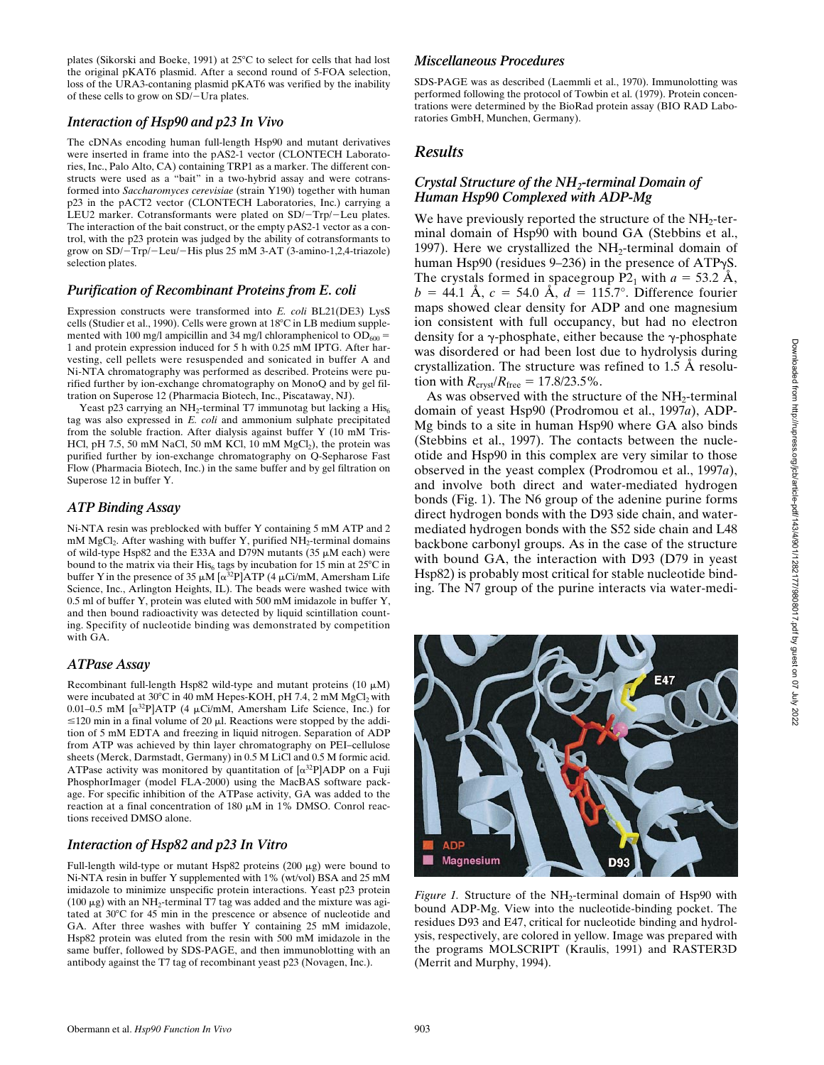plates (Sikorski and Boeke, 1991) at 25°C to select for cells that had lost the original pKAT6 plasmid. After a second round of 5-FOA selection, loss of the URA3-contaning plasmid pKAT6 was verified by the inability of these cells to grow on SD/-Ura plates.

#### *Interaction of Hsp90 and p23 In Vivo*

The cDNAs encoding human full-length Hsp90 and mutant derivatives were inserted in frame into the pAS2-1 vector (CLONTECH Laboratories, Inc., Palo Alto, CA) containing TRP1 as a marker. The different constructs were used as a "bait" in a two-hybrid assay and were cotransformed into *Saccharomyces cerevisiae* (strain Y190) together with human p23 in the pACT2 vector (CLONTECH Laboratories, Inc.) carrying a LEU2 marker. Cotransformants were plated on SD/-Trp/-Leu plates. The interaction of the bait construct, or the empty pAS2-1 vector as a control, with the p23 protein was judged by the ability of cotransformants to grow on SD/-Trp/-Leu/-His plus 25 mM 3-AT (3-amino-1,2,4-triazole) selection plates.

#### *Purification of Recombinant Proteins from E. coli*

Expression constructs were transformed into *E. coli* BL21(DE3) LysS cells (Studier et al., 1990). Cells were grown at 18°C in LB medium supplemented with 100 mg/l ampicillin and 34 mg/l chloramphenicol to  $OD_{600} =$ 1 and protein expression induced for 5 h with 0.25 mM IPTG. After harvesting, cell pellets were resuspended and sonicated in buffer A and Ni-NTA chromatography was performed as described. Proteins were purified further by ion-exchange chromatography on MonoQ and by gel filtration on Superose 12 (Pharmacia Biotech, Inc., Piscataway, NJ).

Yeast p23 carrying an NH<sub>2</sub>-terminal T7 immunotag but lacking a His $_6$ tag was also expressed in *E. coli* and ammonium sulphate precipitated from the soluble fraction. After dialysis against buffer Y (10 mM Tris-HCl, pH 7.5, 50 mM NaCl, 50 mM KCl,  $10 \text{ mM MgCl}_2$ ), the protein was purified further by ion-exchange chromatography on Q-Sepharose Fast Flow (Pharmacia Biotech, Inc.) in the same buffer and by gel filtration on Superose 12 in buffer Y.

#### *ATP Binding Assay*

Ni-NTA resin was preblocked with buffer Y containing 5 mM ATP and 2 mM MgCl<sub>2</sub>. After washing with buffer Y, purified  $NH<sub>2</sub>$ -terminal domains of wild-type Hsp82 and the E33A and D79N mutants (35  $\mu$ M each) were bound to the matrix via their His<sub>6</sub> tags by incubation for 15 min at 25 $\degree$ C in buffer Y in the presence of 35  $\mu$ M  $\alpha^{32}P$  ATP (4  $\mu$ Ci/mM, Amersham Life Science, Inc., Arlington Heights, IL). The beads were washed twice with 0.5 ml of buffer Y, protein was eluted with 500 mM imidazole in buffer Y, and then bound radioactivity was detected by liquid scintillation counting. Specifity of nucleotide binding was demonstrated by competition with GA.

# *ATPase Assay*

Recombinant full-length Hsp82 wild-type and mutant proteins (10  $\mu$ M) were incubated at  $30^{\circ}$ C in 40 mM Hepes-KOH, pH 7.4, 2 mM MgCl<sub>2</sub> with 0.01–0.5 mM  $\left[\alpha^{32}P\right]ATP$  (4  $\mu$ Ci/mM, Amersham Life Science, Inc.) for  $\leq$ 120 min in a final volume of 20  $\mu$ l. Reactions were stopped by the addition of 5 mM EDTA and freezing in liquid nitrogen. Separation of ADP from ATP was achieved by thin layer chromatography on PEI–cellulose sheets (Merck, Darmstadt, Germany) in 0.5 M LiCl and 0.5 M formic acid. ATPase activity was monitored by quantitation of  $\left[\alpha^{32}P\right]$ ADP on a Fuji PhosphorImager (model FLA-2000) using the MacBAS software package. For specific inhibition of the ATPase activity, GA was added to the reaction at a final concentration of 180  $\mu$ M in 1% DMSO. Conrol reactions received DMSO alone.

#### *Interaction of Hsp82 and p23 In Vitro*

Full-length wild-type or mutant Hsp82 proteins  $(200 \mu g)$  were bound to Ni-NTA resin in buffer Y supplemented with 1% (wt/vol) BSA and 25 mM imidazole to minimize unspecific protein interactions. Yeast p23 protein (100  $\mu$ g) with an NH<sub>2</sub>-terminal T7 tag was added and the mixture was agitated at 30°C for 45 min in the prescence or absence of nucleotide and GA. After three washes with buffer Y containing 25 mM imidazole, Hsp82 protein was eluted from the resin with 500 mM imidazole in the same buffer, followed by SDS-PAGE, and then immunoblotting with an antibody against the T7 tag of recombinant yeast p23 (Novagen, Inc.).

#### *Miscellaneous Procedures*

SDS-PAGE was as described (Laemmli et al., 1970). Immunolotting was performed following the protocol of Towbin et al. (1979). Protein concentrations were determined by the BioRad protein assay (BIO RAD Laboratories GmbH, Munchen, Germany).

#### *Results*

#### *Crystal Structure of the NH2-terminal Domain of Human Hsp90 Complexed with ADP-Mg*

We have previously reported the structure of the  $NH<sub>2</sub>$ -terminal domain of Hsp90 with bound GA (Stebbins et al., 1997). Here we crystallized the  $NH<sub>2</sub>$ -terminal domain of human Hsp90 (residues  $9-236$ ) in the presence of ATP $\gamma$ S. The crystals formed in spacegroup  $P2<sub>1</sub>$  with  $a = 53.2$  Å,  $b = 44.1 \text{ Å}, c = 54.0 \text{ Å}, d = 115.7^{\circ}.$  Difference fourier maps showed clear density for ADP and one magnesium ion consistent with full occupancy, but had no electron density for a  $\gamma$ -phosphate, either because the  $\gamma$ -phosphate was disordered or had been lost due to hydrolysis during crystallization. The structure was refined to 1.5 Å resolution with  $R_{\text{crvst}}/R_{\text{free}} = 17.8/23.5\%$ .

As was observed with the structure of the  $NH<sub>2</sub>$ -terminal domain of yeast Hsp90 (Prodromou et al., 1997*a*), ADP-Mg binds to a site in human Hsp90 where GA also binds (Stebbins et al., 1997). The contacts between the nucleotide and Hsp90 in this complex are very similar to those observed in the yeast complex (Prodromou et al., 1997*a*), and involve both direct and water-mediated hydrogen bonds (Fig. 1). The N6 group of the adenine purine forms direct hydrogen bonds with the D93 side chain, and watermediated hydrogen bonds with the S52 side chain and L48 backbone carbonyl groups. As in the case of the structure with bound GA, the interaction with D93 (D79 in yeast Hsp82) is probably most critical for stable nucleotide binding. The N7 group of the purine interacts via water-medi-

**ADP** Magnesium D93

*Figure 1.* Structure of the NH<sub>2</sub>-terminal domain of Hsp90 with bound ADP-Mg. View into the nucleotide-binding pocket. The residues D93 and E47, critical for nucleotide binding and hydrolysis, respectively, are colored in yellow. Image was prepared with the programs MOLSCRIPT (Kraulis, 1991) and RASTER3D (Merrit and Murphy, 1994).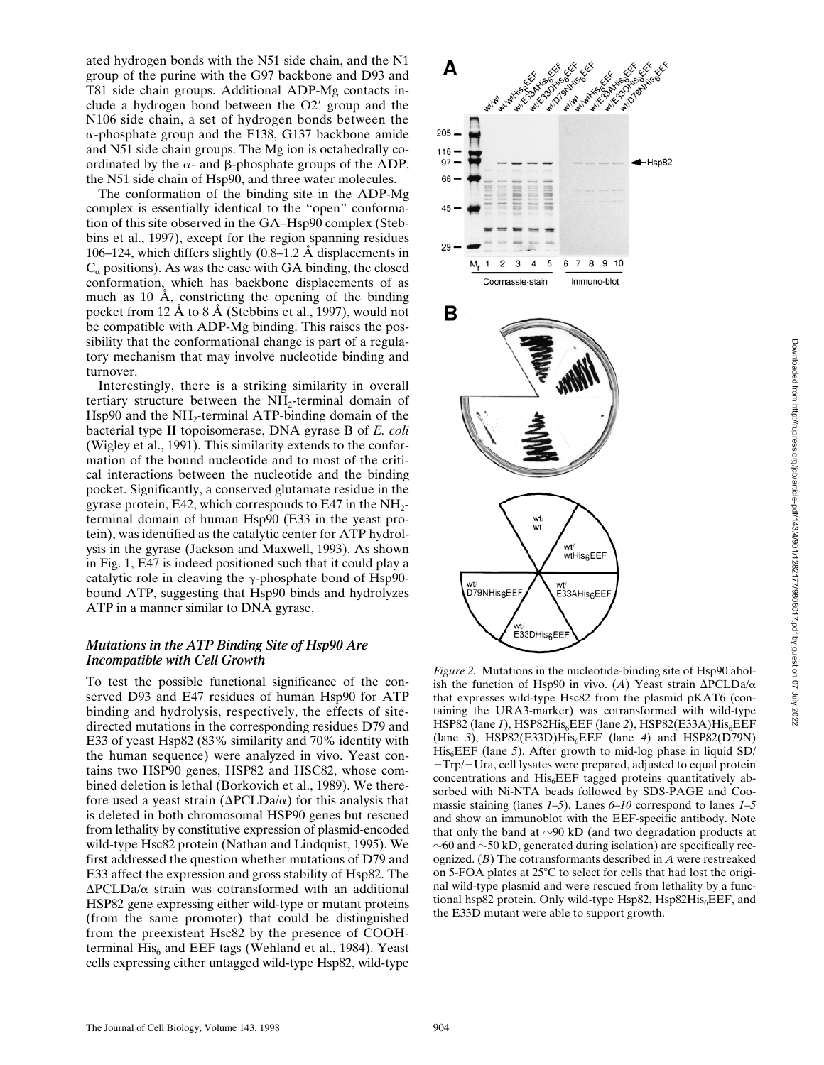ated hydrogen bonds with the N51 side chain, and the N1 group of the purine with the G97 backbone and D93 and T81 side chain groups. Additional ADP-Mg contacts include a hydrogen bond between the  $O2'$  group and the N106 side chain, a set of hydrogen bonds between the  $\alpha$ -phosphate group and the F138, G137 backbone amide and N51 side chain groups. The Mg ion is octahedrally coordinated by the  $\alpha$ - and  $\beta$ -phosphate groups of the ADP, the N51 side chain of Hsp90, and three water molecules.

The conformation of the binding site in the ADP-Mg complex is essentially identical to the "open" conformation of this site observed in the GA–Hsp90 complex (Stebbins et al., 1997), except for the region spanning residues 106–124, which differs slightly (0.8–1.2 Å displacements in  $C_{\alpha}$  positions). As was the case with GA binding, the closed conformation, which has backbone displacements of as much as 10 Å, constricting the opening of the binding pocket from 12 Å to 8 Å (Stebbins et al., 1997), would not be compatible with ADP-Mg binding. This raises the possibility that the conformational change is part of a regulatory mechanism that may involve nucleotide binding and turnover.

Interestingly, there is a striking similarity in overall tertiary structure between the NH<sub>2</sub>-terminal domain of Hsp $90$  and the NH<sub>2</sub>-terminal ATP-binding domain of the bacterial type II topoisomerase, DNA gyrase B of *E. coli* (Wigley et al., 1991). This similarity extends to the conformation of the bound nucleotide and to most of the critical interactions between the nucleotide and the binding pocket. Significantly, a conserved glutamate residue in the gyrase protein, E42, which corresponds to E47 in the  $NH<sub>2</sub>$ terminal domain of human Hsp90 (E33 in the yeast protein), was identified as the catalytic center for ATP hydrolysis in the gyrase (Jackson and Maxwell, 1993). As shown in Fig. 1, E47 is indeed positioned such that it could play a catalytic role in cleaving the  $\gamma$ -phosphate bond of Hsp90bound ATP, suggesting that Hsp90 binds and hydrolyzes ATP in a manner similar to DNA gyrase.

#### *Mutations in the ATP Binding Site of Hsp90 Are Incompatible with Cell Growth*

To test the possible functional significance of the conserved D93 and E47 residues of human Hsp90 for ATP binding and hydrolysis, respectively, the effects of sitedirected mutations in the corresponding residues D79 and E33 of yeast Hsp82 (83% similarity and 70% identity with the human sequence) were analyzed in vivo. Yeast contains two HSP90 genes, HSP82 and HSC82, whose combined deletion is lethal (Borkovich et al., 1989). We therefore used a yeast strain ( $\Delta$ PCLDa/ $\alpha$ ) for this analysis that is deleted in both chromosomal HSP90 genes but rescued from lethality by constitutive expression of plasmid-encoded wild-type Hsc82 protein (Nathan and Lindquist, 1995). We first addressed the question whether mutations of D79 and E33 affect the expression and gross stability of Hsp82. The  $\Delta$ PCLDa/ $\alpha$  strain was cotransformed with an additional HSP82 gene expressing either wild-type or mutant proteins (from the same promoter) that could be distinguished from the preexistent Hsc82 by the presence of COOHterminal  $His<sub>6</sub>$  and EEF tags (Wehland et al., 1984). Yeast cells expressing either untagged wild-type Hsp82, wild-type



*Figure 2.* Mutations in the nucleotide-binding site of Hsp90 abolish the function of Hsp90 in vivo. (A) Yeast strain  $\Delta$ PCLDa/ $\alpha$ that expresses wild-type Hsc82 from the plasmid pKAT6 (containing the URA3-marker) was cotransformed with wild-type HSP82 (lane 1), HSP82His<sub>6</sub>EEF (lane 2), HSP82(E33A)His<sub>6</sub>EEF (lane  $3$ ), HSP82(E33D)His<sub>6</sub>EEF (lane  $4$ ) and HSP82(D79N) His<sub>6</sub>EEF (lane 5). After growth to mid-log phase in liquid SD/  $-Trp$  – Ura, cell lysates were prepared, adjusted to equal protein concentrations and  $His<sub>6</sub>EEF$  tagged proteins quantitatively absorbed with Ni-NTA beads followed by SDS-PAGE and Coomassie staining (lanes *1–5*). Lanes *6–10* correspond to lanes *1–5* and show an immunoblot with the EEF-specific antibody. Note that only the band at  $\sim$ 90 kD (and two degradation products at  $\sim$  60 and  $\sim$  50 kD, generated during isolation) are specifically recognized. (*B*) The cotransformants described in *A* were restreaked on 5-FOA plates at 25°C to select for cells that had lost the original wild-type plasmid and were rescued from lethality by a functional hsp82 protein. Only wild-type Hsp82,  $Hsp82His<sub>6</sub>EEF$ , and the E33D mutant were able to support growth.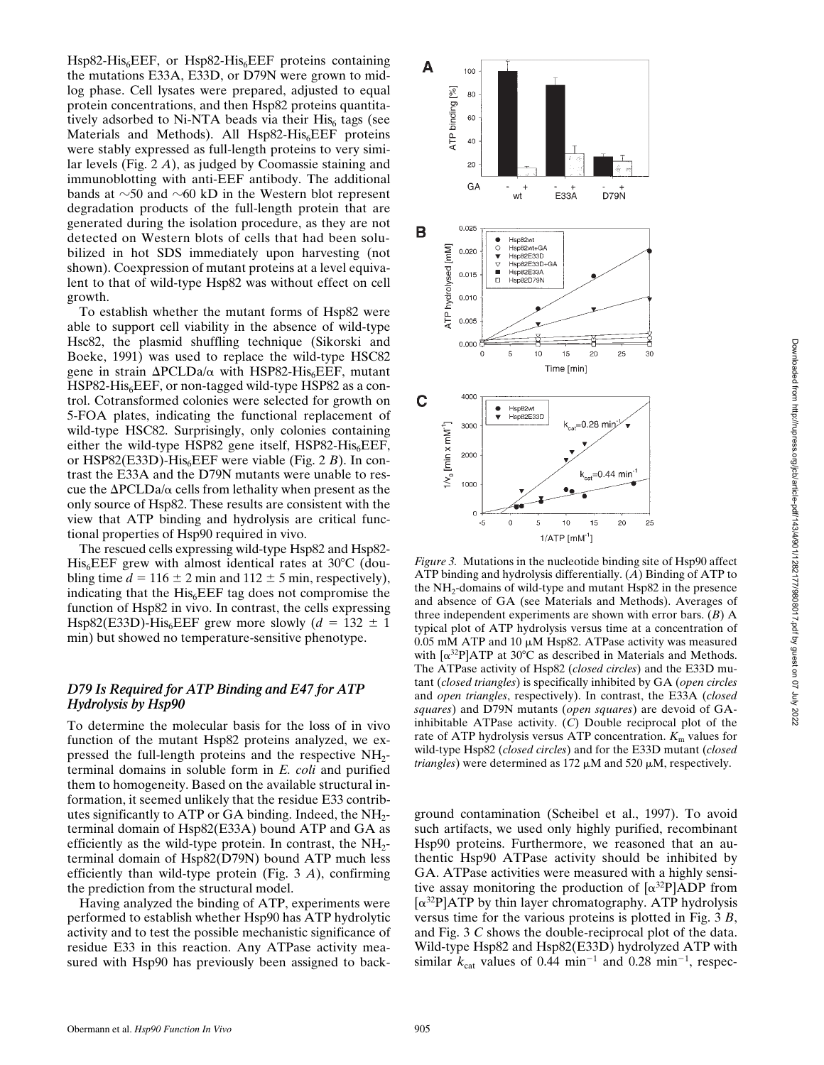$Hsp82-His<sub>6</sub>EEF$ , or  $Hsp82-His<sub>6</sub>EEF$  proteins containing the mutations E33A, E33D, or D79N were grown to midlog phase. Cell lysates were prepared, adjusted to equal protein concentrations, and then Hsp82 proteins quantitatively adsorbed to Ni-NTA beads via their  $His<sub>6</sub>$  tags (see Materials and Methods). All  $Hsp82-His<sub>6</sub>EEF$  proteins were stably expressed as full-length proteins to very similar levels (Fig. 2 *A*), as judged by Coomassie staining and immunoblotting with anti-EEF antibody. The additional bands at  $\sim$ 50 and  $\sim$ 60 kD in the Western blot represent degradation products of the full-length protein that are generated during the isolation procedure, as they are not detected on Western blots of cells that had been solubilized in hot SDS immediately upon harvesting (not shown). Coexpression of mutant proteins at a level equivalent to that of wild-type Hsp82 was without effect on cell growth.

To establish whether the mutant forms of Hsp82 were able to support cell viability in the absence of wild-type Hsc82, the plasmid shuffling technique (Sikorski and Boeke, 1991) was used to replace the wild-type HSC82 gene in strain  $\Delta$ PCLDa/ $\alpha$  with HSP82-His<sub>6</sub>EEF, mutant  $HSP82-His<sub>6</sub>EEF, or non-tagged wild-type HSP82 as a con$ trol. Cotransformed colonies were selected for growth on 5-FOA plates, indicating the functional replacement of wild-type HSC82. Surprisingly, only colonies containing either the wild-type HSP82 gene itself, HSP82-His<sub>6</sub>EEF, or HSP82(E33D)-His<sub>6</sub>EEF were viable (Fig. 2 *B*). In contrast the E33A and the D79N mutants were unable to rescue the  $\Delta$ PCLDa/ $\alpha$  cells from lethality when present as the only source of Hsp82. These results are consistent with the view that ATP binding and hydrolysis are critical functional properties of Hsp90 required in vivo.

The rescued cells expressing wild-type Hsp82 and Hsp82-  $His<sub>6</sub>EEF$  grew with almost identical rates at 30 $°C$  (doubling time  $d = 116 \pm 2$  min and  $112 \pm 5$  min, respectively), indicating that the  $His<sub>6</sub>EEF$  tag does not compromise the function of Hsp82 in vivo. In contrast, the cells expressing Hsp82(E33D)-His<sub>6</sub>EEF grew more slowly ( $d = 132 \pm 1$ min) but showed no temperature-sensitive phenotype.

### *D79 Is Required for ATP Binding and E47 for ATP Hydrolysis by Hsp90*

To determine the molecular basis for the loss of in vivo function of the mutant Hsp82 proteins analyzed, we expressed the full-length proteins and the respective  $NH_2$ terminal domains in soluble form in *E. coli* and purified them to homogeneity. Based on the available structural information, it seemed unlikely that the residue E33 contributes significantly to ATP or GA binding. Indeed, the NH2 terminal domain of Hsp82(E33A) bound ATP and GA as efficiently as the wild-type protein. In contrast, the  $NH_2$ terminal domain of Hsp82(D79N) bound ATP much less efficiently than wild-type protein (Fig. 3 *A*), confirming the prediction from the structural model.

Having analyzed the binding of ATP, experiments were performed to establish whether Hsp90 has ATP hydrolytic activity and to test the possible mechanistic significance of residue E33 in this reaction. Any ATPase activity measured with Hsp90 has previously been assigned to back-



*Figure 3.* Mutations in the nucleotide binding site of Hsp90 affect ATP binding and hydrolysis differentially. (*A*) Binding of ATP to the  $NH_2$ -domains of wild-type and mutant  $Hsp82$  in the presence and absence of GA (see Materials and Methods). Averages of three independent experiments are shown with error bars. (*B*) A typical plot of ATP hydrolysis versus time at a concentration of 0.05 mM ATP and 10  $\mu$ M Hsp82. ATPase activity was measured with  $\left[\alpha^{32}P\right]ATP$  at 30°C as described in Materials and Methods. The ATPase activity of Hsp82 (*closed circles*) and the E33D mutant (*closed triangles*) is specifically inhibited by GA (*open circles* and *open triangles*, respectively). In contrast, the E33A (*closed squares*) and D79N mutants (*open squares*) are devoid of GAinhibitable ATPase activity. (*C*) Double reciprocal plot of the rate of ATP hydrolysis versus ATP concentration.  $K<sub>m</sub>$  values for wild-type Hsp82 (*closed circles*) and for the E33D mutant (*closed triangles*) were determined as  $172 \mu M$  and  $520 \mu M$ , respectively.

ground contamination (Scheibel et al., 1997). To avoid such artifacts, we used only highly purified, recombinant Hsp90 proteins. Furthermore, we reasoned that an authentic Hsp90 ATPase activity should be inhibited by GA. ATPase activities were measured with a highly sensitive assay monitoring the production of  $\left[\alpha^{32}P\right]ADP$  from  $[\alpha^{32}P]ATP$  by thin layer chromatography. ATP hydrolysis versus time for the various proteins is plotted in Fig. 3 *B*, and Fig. 3 *C* shows the double-reciprocal plot of the data. Wild-type Hsp82 and Hsp82(E33D) hydrolyzed ATP with similar  $k_{\text{cat}}$  values of 0.44 min<sup>-1</sup> and 0.28 min<sup>-1</sup>, respec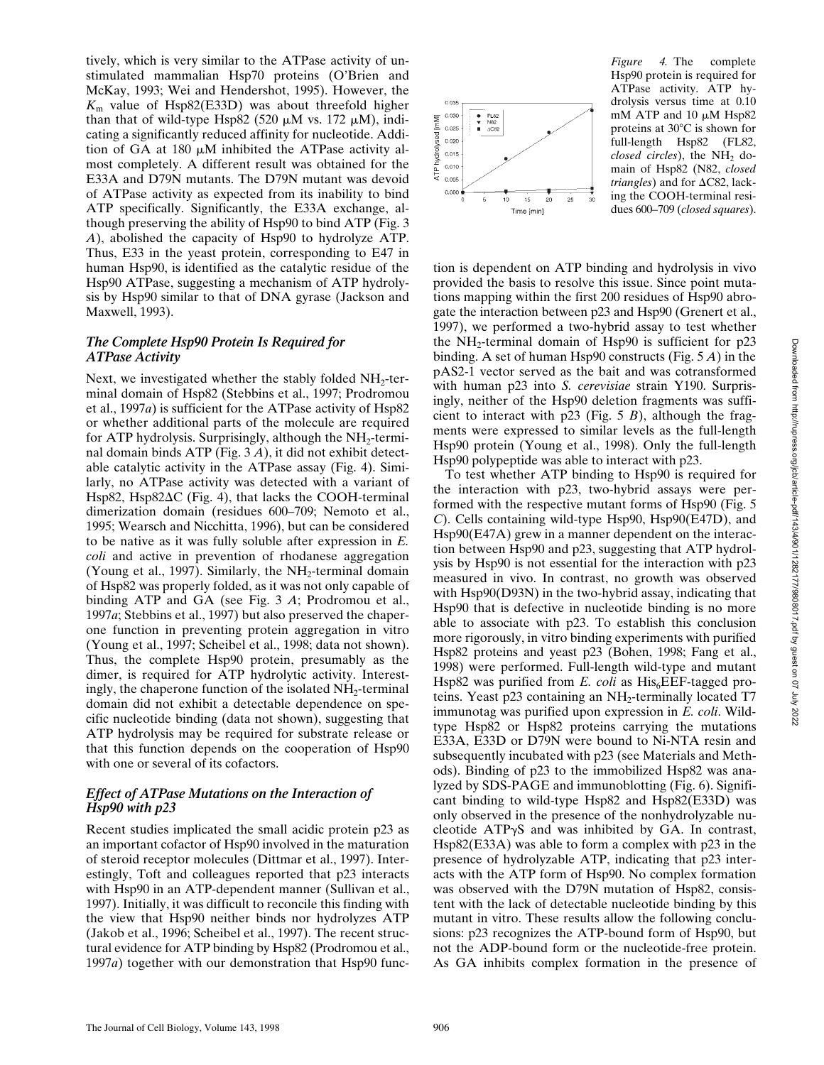tively, which is very similar to the ATPase activity of unstimulated mammalian Hsp70 proteins (O'Brien and McKay, 1993; Wei and Hendershot, 1995). However, the  $K<sub>m</sub>$  value of Hsp82(E33D) was about threefold higher than that of wild-type Hsp82 (520  $\mu$ M vs. 172  $\mu$ M), indicating a significantly reduced affinity for nucleotide. Addition of GA at 180  $\mu$ M inhibited the ATPase activity almost completely. A different result was obtained for the E33A and D79N mutants. The D79N mutant was devoid of ATPase activity as expected from its inability to bind ATP specifically. Significantly, the E33A exchange, although preserving the ability of Hsp90 to bind ATP (Fig. 3 *A*), abolished the capacity of Hsp90 to hydrolyze ATP. Thus, E33 in the yeast protein, corresponding to E47 in human Hsp90, is identified as the catalytic residue of the Hsp90 ATPase, suggesting a mechanism of ATP hydrolysis by Hsp90 similar to that of DNA gyrase (Jackson and Maxwell, 1993).

### *The Complete Hsp90 Protein Is Required for ATPase Activity*

Next, we investigated whether the stably folded  $NH<sub>2</sub>$ -terminal domain of Hsp82 (Stebbins et al., 1997; Prodromou et al., 1997*a*) is sufficient for the ATPase activity of Hsp82 or whether additional parts of the molecule are required for ATP hydrolysis. Surprisingly, although the  $NH<sub>2</sub>$ -terminal domain binds ATP (Fig. 3 *A*), it did not exhibit detectable catalytic activity in the ATPase assay (Fig. 4). Similarly, no ATPase activity was detected with a variant of Hsp82, Hsp82 $\Delta$ C (Fig. 4), that lacks the COOH-terminal dimerization domain (residues 600–709; Nemoto et al., 1995; Wearsch and Nicchitta, 1996), but can be considered to be native as it was fully soluble after expression in *E. coli* and active in prevention of rhodanese aggregation (Young et al., 1997). Similarly, the  $NH_2$ -terminal domain of Hsp82 was properly folded, as it was not only capable of binding ATP and GA (see Fig. 3 *A*; Prodromou et al., 1997*a*; Stebbins et al., 1997) but also preserved the chaperone function in preventing protein aggregation in vitro (Young et al., 1997; Scheibel et al., 1998; data not shown). Thus, the complete Hsp90 protein, presumably as the dimer, is required for ATP hydrolytic activity. Interestingly, the chaperone function of the isolated  $NH<sub>2</sub>$ -terminal domain did not exhibit a detectable dependence on specific nucleotide binding (data not shown), suggesting that ATP hydrolysis may be required for substrate release or that this function depends on the cooperation of Hsp90 with one or several of its cofactors.

#### *Effect of ATPase Mutations on the Interaction of Hsp90 with p23*

Recent studies implicated the small acidic protein p23 as an important cofactor of Hsp90 involved in the maturation of steroid receptor molecules (Dittmar et al., 1997). Interestingly, Toft and colleagues reported that p23 interacts with Hsp90 in an ATP-dependent manner (Sullivan et al., 1997). Initially, it was difficult to reconcile this finding with the view that Hsp90 neither binds nor hydrolyzes ATP (Jakob et al., 1996; Scheibel et al., 1997). The recent structural evidence for ATP binding by Hsp82 (Prodromou et al., 1997*a*) together with our demonstration that Hsp90 func-



*Figure 4.* The complete Hsp90 protein is required for ATPase activity. ATP hydrolysis versus time at 0.10 mM ATP and 10  $\mu$ M Hsp82 proteins at  $30^{\circ}$ C is shown for full-length Hsp82 (FL82, *closed circles*), the NH<sub>2</sub> domain of Hsp82 (N82, *closed*  $triangles$ ) and for  $\Delta$ C82, lacking the COOH-terminal residues 600–709 (*closed squares*).

tion is dependent on ATP binding and hydrolysis in vivo provided the basis to resolve this issue. Since point mutations mapping within the first 200 residues of Hsp90 abrogate the interaction between p23 and Hsp90 (Grenert et al., 1997), we performed a two-hybrid assay to test whether the  $NH_2$ -terminal domain of Hsp90 is sufficient for p23 binding. A set of human Hsp90 constructs (Fig. 5 *A*) in the pAS2-1 vector served as the bait and was cotransformed with human p23 into *S. cerevisiae* strain Y190. Surprisingly, neither of the Hsp90 deletion fragments was sufficient to interact with p23 (Fig. 5 *B*), although the fragments were expressed to similar levels as the full-length Hsp90 protein (Young et al., 1998). Only the full-length Hsp90 polypeptide was able to interact with p23.

To test whether ATP binding to Hsp90 is required for the interaction with p23, two-hybrid assays were performed with the respective mutant forms of Hsp90 (Fig. 5 *C*). Cells containing wild-type Hsp90, Hsp90(E47D), and Hsp90(E47A) grew in a manner dependent on the interaction between Hsp90 and p23, suggesting that ATP hydrolysis by Hsp90 is not essential for the interaction with p23 measured in vivo. In contrast, no growth was observed with Hsp90(D93N) in the two-hybrid assay, indicating that Hsp90 that is defective in nucleotide binding is no more able to associate with p23. To establish this conclusion more rigorously, in vitro binding experiments with purified Hsp82 proteins and yeast p23 (Bohen, 1998; Fang et al., 1998) were performed. Full-length wild-type and mutant Hsp82 was purified from  $E$ . *coli* as  $His<sub>6</sub>EEF-tagged$  proteins. Yeast  $p23$  containing an  $NH_2$ -terminally located T7 immunotag was purified upon expression in *E. coli*. Wildtype Hsp82 or Hsp82 proteins carrying the mutations E33A, E33D or D79N were bound to Ni-NTA resin and subsequently incubated with p23 (see Materials and Methods). Binding of p23 to the immobilized Hsp82 was analyzed by SDS-PAGE and immunoblotting (Fig. 6). Significant binding to wild-type Hsp82 and Hsp82(E33D) was only observed in the presence of the nonhydrolyzable nucleotide  $ATP\gamma S$  and was inhibited by GA. In contrast, Hsp82(E33A) was able to form a complex with p23 in the presence of hydrolyzable ATP, indicating that p23 interacts with the ATP form of Hsp90. No complex formation was observed with the D79N mutation of Hsp82, consistent with the lack of detectable nucleotide binding by this mutant in vitro. These results allow the following conclusions: p23 recognizes the ATP-bound form of Hsp90, but not the ADP-bound form or the nucleotide-free protein. As GA inhibits complex formation in the presence of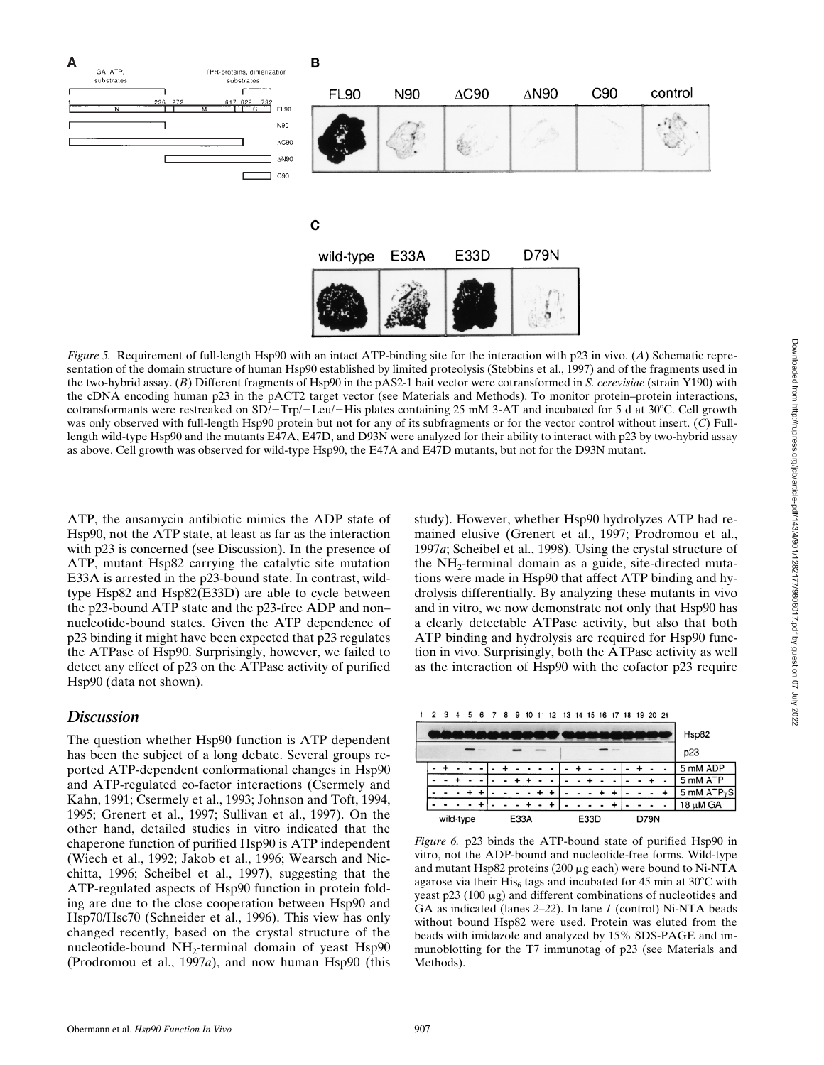

*Figure 5.* Requirement of full-length Hsp90 with an intact ATP-binding site for the interaction with p23 in vivo. (*A*) Schematic representation of the domain structure of human Hsp90 established by limited proteolysis (Stebbins et al., 1997) and of the fragments used in the two-hybrid assay. (*B*) Different fragments of Hsp90 in the pAS2-1 bait vector were cotransformed in *S. cerevisiae* (strain Y190) with the cDNA encoding human p23 in the pACT2 target vector (see Materials and Methods). To monitor protein–protein interactions, cotransformants were restreaked on  $SD/$ -Trp/-Leu/-His plates containing 25 mM 3-AT and incubated for 5 d at 30°C. Cell growth was only observed with full-length Hsp90 protein but not for any of its subfragments or for the vector control without insert. (*C*) Fulllength wild-type Hsp90 and the mutants E47A, E47D, and D93N were analyzed for their ability to interact with p23 by two-hybrid assay as above. Cell growth was observed for wild-type Hsp90, the E47A and E47D mutants, but not for the D93N mutant.

ATP, the ansamycin antibiotic mimics the ADP state of Hsp90, not the ATP state, at least as far as the interaction with p23 is concerned (see Discussion). In the presence of ATP, mutant Hsp82 carrying the catalytic site mutation E33A is arrested in the p23-bound state. In contrast, wildtype Hsp82 and Hsp82(E33D) are able to cycle between the p23-bound ATP state and the p23-free ADP and non– nucleotide-bound states. Given the ATP dependence of p23 binding it might have been expected that p23 regulates the ATPase of Hsp90. Surprisingly, however, we failed to detect any effect of p23 on the ATPase activity of purified Hsp90 (data not shown).

# *Discussion*

The question whether Hsp90 function is ATP dependent has been the subject of a long debate. Several groups reported ATP-dependent conformational changes in Hsp90 and ATP-regulated co-factor interactions (Csermely and Kahn, 1991; Csermely et al., 1993; Johnson and Toft, 1994, 1995; Grenert et al., 1997; Sullivan et al., 1997). On the other hand, detailed studies in vitro indicated that the chaperone function of purified Hsp90 is ATP independent (Wiech et al., 1992; Jakob et al., 1996; Wearsch and Nicchitta, 1996; Scheibel et al., 1997), suggesting that the ATP-regulated aspects of Hsp90 function in protein folding are due to the close cooperation between Hsp90 and Hsp70/Hsc70 (Schneider et al., 1996). This view has only changed recently, based on the crystal structure of the nucleotide-bound  $NH<sub>2</sub>$ -terminal domain of yeast Hsp $90$ (Prodromou et al., 1997*a*), and now human Hsp90 (this study). However, whether Hsp90 hydrolyzes ATP had remained elusive (Grenert et al., 1997; Prodromou et al., 1997*a*; Scheibel et al., 1998). Using the crystal structure of the  $NH<sub>2</sub>$ -terminal domain as a guide, site-directed mutations were made in Hsp90 that affect ATP binding and hydrolysis differentially. By analyzing these mutants in vivo and in vitro, we now demonstrate not only that Hsp90 has a clearly detectable ATPase activity, but also that both ATP binding and hydrolysis are required for Hsp90 function in vivo. Surprisingly, both the ATPase activity as well as the interaction of Hsp90 with the cofactor p23 require

|  |           |  |  |      |  |  |  |  | 1 2 3 4 5 6 7 8 9 10 11 12 13 14 15 16 17 18 19 20 21 |      |  |  |  |  |      |  |  |                         |
|--|-----------|--|--|------|--|--|--|--|-------------------------------------------------------|------|--|--|--|--|------|--|--|-------------------------|
|  |           |  |  |      |  |  |  |  |                                                       |      |  |  |  |  |      |  |  | Hsp82                   |
|  |           |  |  |      |  |  |  |  |                                                       |      |  |  |  |  |      |  |  | p23                     |
|  |           |  |  |      |  |  |  |  |                                                       |      |  |  |  |  |      |  |  | 5 mM ADP                |
|  |           |  |  |      |  |  |  |  |                                                       |      |  |  |  |  |      |  |  | 5 mM ATP                |
|  |           |  |  |      |  |  |  |  |                                                       |      |  |  |  |  |      |  |  | 5 mM ATP <sub>Y</sub> S |
|  |           |  |  |      |  |  |  |  |                                                       |      |  |  |  |  |      |  |  | 18 μM GA                |
|  | wild-type |  |  | E33A |  |  |  |  |                                                       | E33D |  |  |  |  | D79N |  |  |                         |

*Figure 6.* p23 binds the ATP-bound state of purified Hsp90 in vitro, not the ADP-bound and nucleotide-free forms. Wild-type and mutant Hsp82 proteins  $(200 \mu g$  each) were bound to Ni-NTA agarose via their His<sub>6</sub> tags and incubated for 45 min at  $30^{\circ}$ C with yeast  $p23$  (100  $\mu$ g) and different combinations of nucleotides and GA as indicated (lanes *2–22*). In lane *1* (control) Ni-NTA beads without bound Hsp82 were used. Protein was eluted from the beads with imidazole and analyzed by 15% SDS-PAGE and immunoblotting for the T7 immunotag of p23 (see Materials and Methods).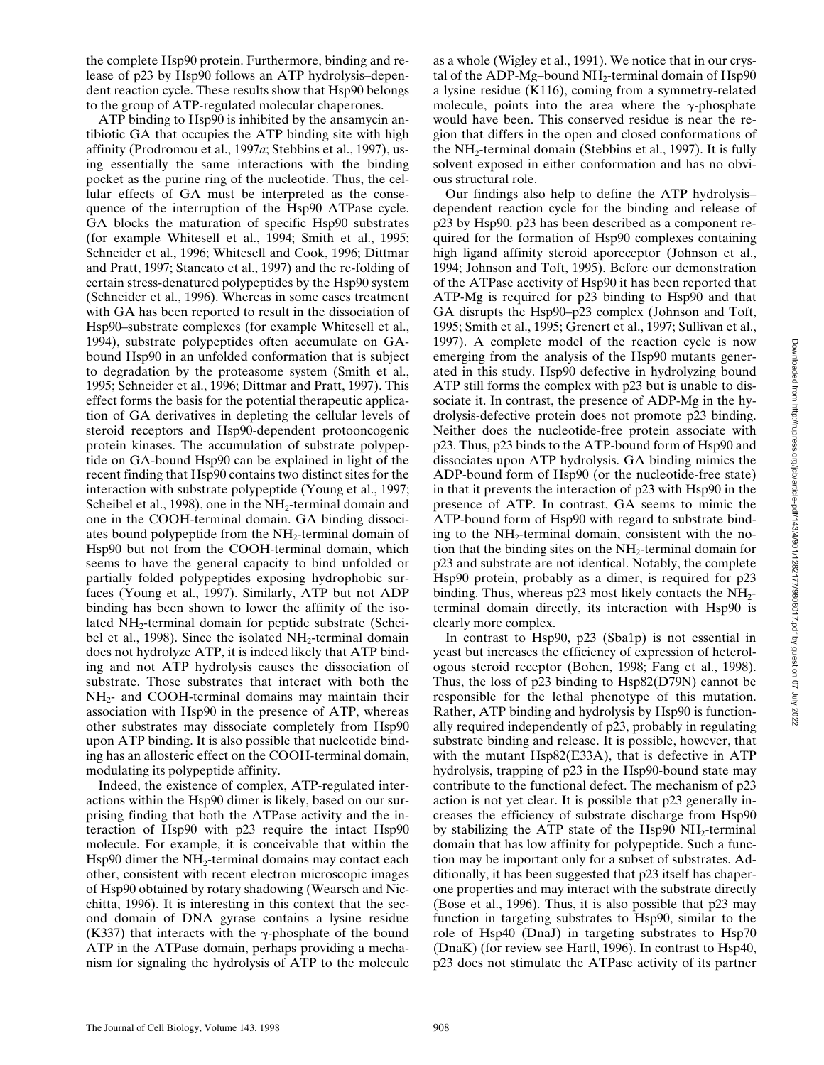the complete Hsp90 protein. Furthermore, binding and release of p23 by Hsp90 follows an ATP hydrolysis–dependent reaction cycle. These results show that Hsp90 belongs to the group of ATP-regulated molecular chaperones.

ATP binding to Hsp90 is inhibited by the ansamycin antibiotic GA that occupies the ATP binding site with high affinity (Prodromou et al., 1997*a*; Stebbins et al., 1997), using essentially the same interactions with the binding pocket as the purine ring of the nucleotide. Thus, the cellular effects of GA must be interpreted as the consequence of the interruption of the Hsp90 ATPase cycle. GA blocks the maturation of specific Hsp90 substrates (for example Whitesell et al., 1994; Smith et al., 1995; Schneider et al., 1996; Whitesell and Cook, 1996; Dittmar and Pratt, 1997; Stancato et al., 1997) and the re-folding of certain stress-denatured polypeptides by the Hsp90 system (Schneider et al., 1996). Whereas in some cases treatment with GA has been reported to result in the dissociation of Hsp90–substrate complexes (for example Whitesell et al., 1994), substrate polypeptides often accumulate on GAbound Hsp90 in an unfolded conformation that is subject to degradation by the proteasome system (Smith et al., 1995; Schneider et al., 1996; Dittmar and Pratt, 1997). This effect forms the basis for the potential therapeutic application of GA derivatives in depleting the cellular levels of steroid receptors and Hsp90-dependent protooncogenic protein kinases. The accumulation of substrate polypeptide on GA-bound Hsp90 can be explained in light of the recent finding that Hsp90 contains two distinct sites for the interaction with substrate polypeptide (Young et al., 1997; Scheibel et al., 1998), one in the  $NH<sub>2</sub>$ -terminal domain and one in the COOH-terminal domain. GA binding dissociates bound polypeptide from the NH<sub>2</sub>-terminal domain of Hsp90 but not from the COOH-terminal domain, which seems to have the general capacity to bind unfolded or partially folded polypeptides exposing hydrophobic surfaces (Young et al., 1997). Similarly, ATP but not ADP binding has been shown to lower the affinity of the isolated NH<sub>2</sub>-terminal domain for peptide substrate (Scheibel et al., 1998). Since the isolated  $NH_2$ -terminal domain does not hydrolyze ATP, it is indeed likely that ATP binding and not ATP hydrolysis causes the dissociation of substrate. Those substrates that interact with both the NH<sub>2</sub>- and COOH-terminal domains may maintain their association with Hsp90 in the presence of ATP, whereas other substrates may dissociate completely from Hsp90 upon ATP binding. It is also possible that nucleotide binding has an allosteric effect on the COOH-terminal domain, modulating its polypeptide affinity.

Indeed, the existence of complex, ATP-regulated interactions within the Hsp90 dimer is likely, based on our surprising finding that both the ATPase activity and the interaction of Hsp90 with p23 require the intact Hsp90 molecule. For example, it is conceivable that within the Hsp90 dimer the  $NH<sub>2</sub>$ -terminal domains may contact each other, consistent with recent electron microscopic images of Hsp90 obtained by rotary shadowing (Wearsch and Nicchitta, 1996). It is interesting in this context that the second domain of DNA gyrase contains a lysine residue (K337) that interacts with the  $\gamma$ -phosphate of the bound ATP in the ATPase domain, perhaps providing a mechanism for signaling the hydrolysis of ATP to the molecule

as a whole (Wigley et al., 1991). We notice that in our crystal of the ADP-Mg–bound  $NH_2$ -terminal domain of Hsp90 a lysine residue (K116), coming from a symmetry-related molecule, points into the area where the  $\gamma$ -phosphate would have been. This conserved residue is near the region that differs in the open and closed conformations of the  $NH_2$ -terminal domain (Stebbins et al., 1997). It is fully solvent exposed in either conformation and has no obvious structural role.

Our findings also help to define the ATP hydrolysis– dependent reaction cycle for the binding and release of p23 by Hsp90. p23 has been described as a component required for the formation of Hsp90 complexes containing high ligand affinity steroid aporeceptor (Johnson et al., 1994; Johnson and Toft, 1995). Before our demonstration of the ATPase acctivity of Hsp90 it has been reported that ATP-Mg is required for p23 binding to Hsp90 and that GA disrupts the Hsp90–p23 complex (Johnson and Toft, 1995; Smith et al., 1995; Grenert et al., 1997; Sullivan et al., 1997). A complete model of the reaction cycle is now emerging from the analysis of the Hsp90 mutants generated in this study. Hsp90 defective in hydrolyzing bound ATP still forms the complex with p23 but is unable to dissociate it. In contrast, the presence of ADP-Mg in the hydrolysis-defective protein does not promote p23 binding. Neither does the nucleotide-free protein associate with p23. Thus, p23 binds to the ATP-bound form of Hsp90 and dissociates upon ATP hydrolysis. GA binding mimics the ADP-bound form of Hsp90 (or the nucleotide-free state) in that it prevents the interaction of p23 with Hsp90 in the presence of ATP. In contrast, GA seems to mimic the ATP-bound form of Hsp90 with regard to substrate binding to the  $NH<sub>2</sub>$ -terminal domain, consistent with the notion that the binding sites on the  $NH<sub>2</sub>$ -terminal domain for p23 and substrate are not identical. Notably, the complete Hsp90 protein, probably as a dimer, is required for p23 binding. Thus, whereas  $p23$  most likely contacts the NH<sub>2</sub>terminal domain directly, its interaction with Hsp90 is clearly more complex.

In contrast to Hsp90, p23 (Sba1p) is not essential in yeast but increases the efficiency of expression of heterologous steroid receptor (Bohen, 1998; Fang et al., 1998). Thus, the loss of p23 binding to Hsp82(D79N) cannot be responsible for the lethal phenotype of this mutation. Rather, ATP binding and hydrolysis by Hsp90 is functionally required independently of p23, probably in regulating substrate binding and release. It is possible, however, that with the mutant Hsp82(E33A), that is defective in ATP hydrolysis, trapping of p23 in the Hsp90-bound state may contribute to the functional defect. The mechanism of p23 action is not yet clear. It is possible that p23 generally increases the efficiency of substrate discharge from Hsp90 by stabilizing the ATP state of the Hsp $90$  NH<sub>2</sub>-terminal domain that has low affinity for polypeptide. Such a function may be important only for a subset of substrates. Additionally, it has been suggested that p23 itself has chaperone properties and may interact with the substrate directly (Bose et al., 1996). Thus, it is also possible that p23 may function in targeting substrates to Hsp90, similar to the role of Hsp40 (DnaJ) in targeting substrates to Hsp70 (DnaK) (for review see Hartl, 1996). In contrast to Hsp40, p23 does not stimulate the ATPase activity of its partner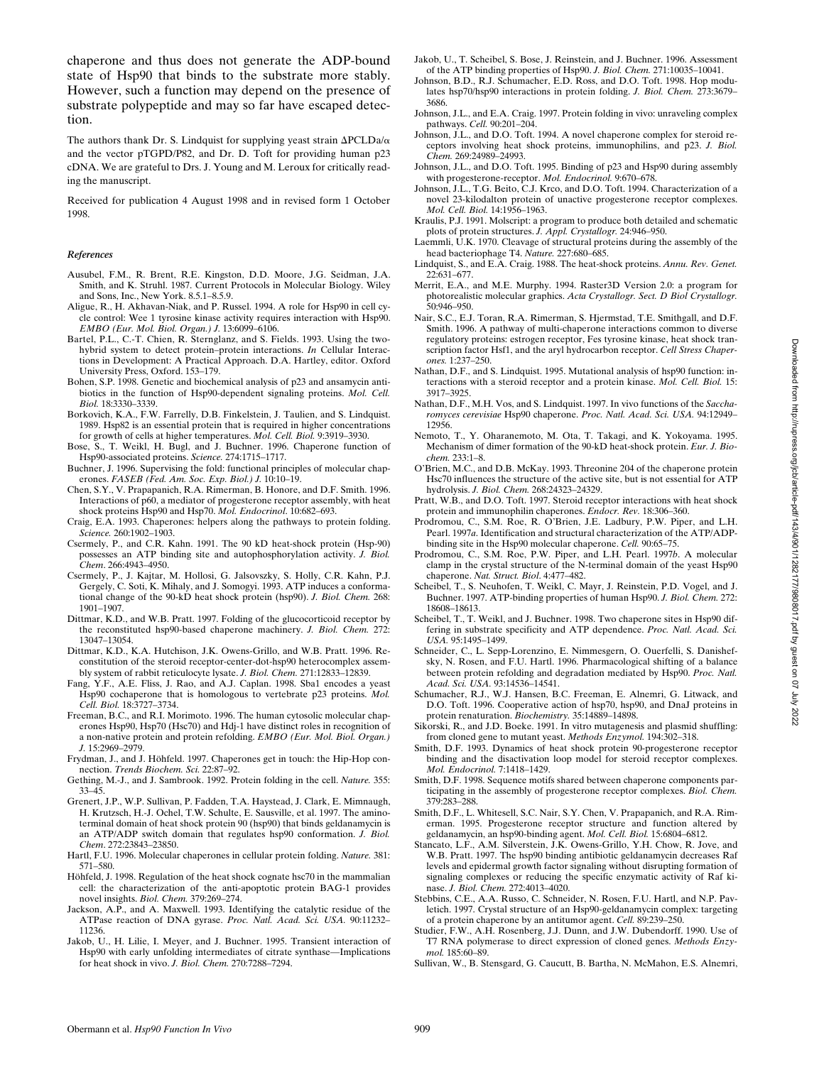chaperone and thus does not generate the ADP-bound state of Hsp90 that binds to the substrate more stably. However, such a function may depend on the presence of substrate polypeptide and may so far have escaped detection.

The authors thank Dr. S. Lindquist for supplying yeast strain  $\Delta \text{PCLDa}/\alpha$ and the vector pTGPD/P82, and Dr. D. Toft for providing human p23 cDNA. We are grateful to Drs. J. Young and M. Leroux for critically reading the manuscript.

Received for publication 4 August 1998 and in revised form 1 October 1998.

#### *References*

- Ausubel, F.M., R. Brent, R.E. Kingston, D.D. Moore, J.G. Seidman, J.A. Smith, and K. Struhl. 1987. Current Protocols in Molecular Biology. Wiley and Sons, Inc., New York. 8.5.1–8.5.9.
- Aligue, R., H. Akhavan-Niak, and P. Russel. 1994. A role for Hsp90 in cell cycle control: Wee 1 tyrosine kinase activity requires interaction with Hsp90. *EMBO (Eur. Mol. Biol. Organ.) J.* 13:6099–6106.
- Bartel, P.L., C.-T. Chien, R. Sternglanz, and S. Fields. 1993. Using the twohybrid system to detect protein–protein interactions. *In* Cellular Interactions in Development: A Practical Approach. D.A. Hartley, editor. Oxford University Press, Oxford. 153–179.
- Bohen, S.P. 1998. Genetic and biochemical analysis of p23 and ansamycin antibiotics in the function of Hsp90-dependent signaling proteins. *Mol. Cell. Biol.* 18:3330–3339.
- Borkovich, K.A., F.W. Farrelly, D.B. Finkelstein, J. Taulien, and S. Lindquist. 1989. Hsp82 is an essential protein that is required in higher concentrations for growth of cells at higher temperatures. *Mol. Cell. Biol.* 9:3919–3930.
- Bose, S., T. Weikl, H. Bugl, and J. Buchner. 1996. Chaperone function of Hsp90-associated proteins. *Science.* 274:1715–1717.
- Buchner, J. 1996. Supervising the fold: functional principles of molecular chaperones. *FASEB (Fed. Am. Soc. Exp. Biol.) J.* 10:10–19.
- Chen, S.Y., V. Prapapanich, R.A. Rimerman, B. Honore, and D.F. Smith. 1996. Interactions of p60, a mediator of progesterone receptor assembly, with heat shock proteins Hsp90 and Hsp70. *Mol. Endocrinol*. 10:682–693.
- Craig, E.A. 1993. Chaperones: helpers along the pathways to protein folding. *Science.* 260:1902–1903.
- Csermely, P., and C.R. Kahn. 1991. The 90 kD heat-shock protein (Hsp-90) possesses an ATP binding site and autophosphorylation activity. *J. Biol. Chem*. 266:4943–4950.
- Csermely, P., J. Kajtar, M. Hollosi, G. Jalsovszky, S. Holly, C.R. Kahn, P.J. Gergely, C. Soti, K. Mihaly, and J. Somogyi. 1993. ATP induces a conformational change of the 90-kD heat shock protein (hsp90). *J. Biol. Chem.* 268: 1901–1907.
- Dittmar, K.D., and W.B. Pratt. 1997. Folding of the glucocorticoid receptor by the reconstituted hsp90-based chaperone machinery. *J. Biol. Chem.* 272: 13047–13054.
- Dittmar, K.D., K.A. Hutchison, J.K. Owens-Grillo, and W.B. Pratt. 1996. Reconstitution of the steroid receptor-center-dot-hsp90 heterocomplex assembly system of rabbit reticulocyte lysate. *J. Biol. Chem.* 271:12833–12839.
- Fang, Y.F., A.E. Fliss, J. Rao, and A.J. Caplan. 1998. Sba1 encodes a yeast Hsp90 cochaperone that is homologous to vertebrate p23 proteins. *Mol. Cell. Biol.* 18:3727–3734.
- Freeman, B.C., and R.I. Morimoto. 1996. The human cytosolic molecular chaperones Hsp90, Hsp70 (Hsc70) and Hdj-1 have distinct roles in recognition of a non-native protein and protein refolding. *EMBO (Eur. Mol. Biol. Organ.) J.* 15:2969–2979.
- Frydman, J., and J. Höhfeld. 1997. Chaperones get in touch: the Hip-Hop connection. *Trends Biochem. Sci.* 22:87–92.
- Gething, M.-J., and J. Sambrook. 1992. Protein folding in the cell. *Nature.* 355: 33–45.
- Grenert, J.P., W.P. Sullivan, P. Fadden, T.A. Haystead, J. Clark, E. Mimnaugh, H. Krutzsch, H.-J. Ochel, T.W. Schulte, E. Sausville, et al. 1997. The aminoterminal domain of heat shock protein 90 (hsp90) that binds geldanamycin is an ATP/ADP switch domain that regulates hsp90 conformation. *J. Biol. Chem*. 272:23843–23850.
- Hartl, F.U. 1996. Molecular chaperones in cellular protein folding. *Nature.* 381: 571–580.
- Höhfeld, J. 1998. Regulation of the heat shock cognate hsc70 in the mammalian cell: the characterization of the anti-apoptotic protein BAG-1 provides novel insights. *Biol. Chem.* 379:269–274.
- Jackson, A.P., and A. Maxwell. 1993. Identifying the catalytic residue of the ATPase reaction of DNA gyrase. *Proc. Natl. Acad. Sci. USA.* 90:11232– 11236.
- Jakob, U., H. Lilie, I. Meyer, and J. Buchner. 1995. Transient interaction of Hsp90 with early unfolding intermediates of citrate synthase—Implications for heat shock in vivo. *J. Biol. Chem.* 270:7288–7294.
- Jakob, U., T. Scheibel, S. Bose, J. Reinstein, and J. Buchner. 1996. Assessment of the ATP binding properties of Hsp90. *J. Biol. Chem.* 271:10035–10041.
- Johnson, B.D., R.J. Schumacher, E.D. Ross, and D.O. Toft. 1998. Hop modulates hsp70/hsp90 interactions in protein folding. *J. Biol. Chem.* 273:3679– 3686.
- Johnson, J.L., and E.A. Craig. 1997. Protein folding in vivo: unraveling complex pathways. *Cell.* 90:201–204.
- Johnson, J.L., and D.O. Toft. 1994. A novel chaperone complex for steroid receptors involving heat shock proteins, immunophilins, and p23. *J. Biol. Chem.* 269:24989–24993.
- Johnson, J.L., and D.O. Toft. 1995. Binding of p23 and Hsp90 during assembly with progesterone-receptor. *Mol. Endocrinol.* 9:670–678.
- Johnson, J.L., T.G. Beito, C.J. Krco, and D.O. Toft. 1994. Characterization of a novel 23-kilodalton protein of unactive progesterone receptor complexes. *Mol. Cell. Biol.* 14:1956–1963.
- Kraulis, P.J. 1991. Molscript: a program to produce both detailed and schematic plots of protein structures. *J. Appl. Crystallogr.* 24:946–950.
- Laemmli,  $\hat{U}$ .K. 1970. Cleavage of structural proteins during the assembly of the head bacteriophage T4. *Nature.* 227:680–685.
- Lindquist, S., and E.A. Craig. 1988. The heat-shock proteins. *Annu. Rev. Genet.* 22:631–677.
- Merrit, E.A., and M.E. Murphy. 1994. Raster3D Version 2.0: a program for photorealistic molecular graphics. *Acta Crystallogr. Sect. D Biol Crystallogr.* 50:946–950.
- Nair, S.C., E.J. Toran, R.A. Rimerman, S. Hjermstad, T.E. Smithgall, and D.F. Smith. 1996. A pathway of multi-chaperone interactions common to diverse regulatory proteins: estrogen receptor, Fes tyrosine kinase, heat shock transcription factor Hsf1, and the aryl hydrocarbon receptor. *Cell Stress Chaperones.* 1:237–250.
- Nathan, D.F., and S. Lindquist. 1995. Mutational analysis of hsp90 function: interactions with a steroid receptor and a protein kinase. *Mol. Cell. Biol.* 15: 3917–3925.
- Nathan, D.F., M.H. Vos, and S. Lindquist. 1997. In vivo functions of the *Saccharomyces cerevisiae* Hsp90 chaperone. *Proc. Natl. Acad. Sci. USA.* 94:12949– 12956.
- Nemoto, T., Y. Oharanemoto, M. Ota, T. Takagi, and K. Yokoyama. 1995. Mechanism of dimer formation of the 90-kD heat-shock protein. *Eur. J. Biochem.* 233:1–8.
- O'Brien, M.C., and D.B. McKay. 1993. Threonine 204 of the chaperone protein Hsc70 influences the structure of the active site, but is not essential for ATP hydrolysis. *J. Biol. Chem.* 268:24323–24329.
- Pratt, W.B., and D.O. Toft. 1997. Steroid receptor interactions with heat shock protein and immunophilin chaperones. *Endocr. Rev.* 18:306–360.
- Prodromou, C., S.M. Roe, R. O'Brien, J.E. Ladbury, P.W. Piper, and L.H. Pearl. 1997*a*. Identification and structural characterization of the ATP/ADPbinding site in the Hsp90 molecular chaperone. *Cell.* 90:65–75.
- Prodromou, C., S.M. Roe, P.W. Piper, and L.H. Pearl. 1997*b*. A molecular clamp in the crystal structure of the N-terminal domain of the yeast Hsp90 chaperone. *Nat. Struct. Biol*. 4:477–482.
- Scheibel, T., S. Neuhofen, T. Weikl, C. Mayr, J. Reinstein, P.D. Vogel, and J. Buchner. 1997. ATP-binding properties of human Hsp90. *J. Biol. Chem.* 272: 18608–18613.
- Scheibel, T., T. Weikl, and J. Buchner. 1998. Two chaperone sites in Hsp90 differing in substrate specificity and ATP dependence. *Proc. Natl. Acad. Sci. USA.* 95:1495–1499.
- Schneider, C., L. Sepp-Lorenzino, E. Nimmesgern, O. Ouerfelli, S. Danishefsky, N. Rosen, and F.U. Hartl. 1996. Pharmacological shifting of a balance between protein refolding and degradation mediated by Hsp90. *Proc. Natl. Acad. Sci. USA.* 93:14536–14541.
- Schumacher, R.J., W.J. Hansen, B.C. Freeman, E. Alnemri, G. Litwack, and D.O. Toft. 1996. Cooperative action of hsp70, hsp90, and DnaJ proteins in protein renaturation. *Biochemistry.* 35:14889–14898.
- Sikorski, R., and J.D. Boeke. 1991. In vitro mutagenesis and plasmid shuffling: from cloned gene to mutant yeast. *Methods Enzymol.* 194:302–318.
- Smith, D.F. 1993. Dynamics of heat shock protein 90-progesterone receptor binding and the disactivation loop model for steroid receptor complexes. *Mol. Endocrinol.* 7:1418–1429.
- Smith, D.F. 1998. Sequence motifs shared between chaperone components participating in the assembly of progesterone receptor complexes. *Biol. Chem.* 379:283–288.
- Smith, D.F., L. Whitesell, S.C. Nair, S.Y. Chen, V. Prapapanich, and R.A. Rimerman. 1995. Progesterone receptor structure and function altered by geldanamycin, an hsp90-binding agent. *Mol. Cell. Biol.* 15:6804–6812.
- Stancato, L.F., A.M. Silverstein, J.K. Owens-Grillo, Y.H. Chow, R. Jove, and W.B. Pratt. 1997. The hsp90 binding antibiotic geldanamycin decreases Raf levels and epidermal growth factor signaling without disrupting formation of signaling complexes or reducing the specific enzymatic activity of Raf kinase. *J. Biol. Chem.* 272:4013–4020.
- Stebbins, C.E., A.A. Russo, C. Schneider, N. Rosen, F.U. Hartl, and N.P. Pavletich. 1997. Crystal structure of an Hsp90-geldanamycin complex: targeting of a protein chaperone by an antitumor agent. *Cell.* 89:239–250.
- Studier, F.W., A.H. Rosenberg, J.J. Dunn, and J.W. Dubendorff. 1990. Use of T7 RNA polymerase to direct expression of cloned genes. *Methods Enzymol.* 185:60–89.
- Sullivan, W., B. Stensgard, G. Caucutt, B. Bartha, N. McMahon, E.S. Alnemri,